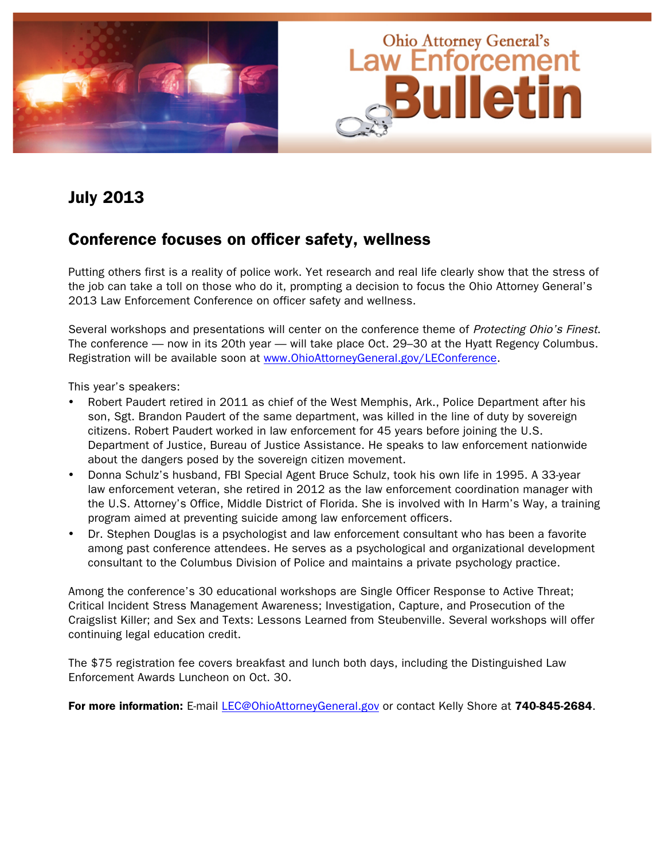

## July 2013

### Conference focuses on officer safety, wellness

Putting others first is a reality of police work. Yet research and real life clearly show that the stress of the job can take a toll on those who do it, prompting a decision to focus the Ohio Attorney General's 2013 Law Enforcement Conference on officer safety and wellness.

Several workshops and presentations will center on the conference theme of Protecting Ohio's Finest. The conference — now in its 20th year — will take place Oct. 29–30 at the Hyatt Regency Columbus. Registration will be available soon at www.OhioAttorneyGeneral.gov/LEConference.

This year's speakers:

- Robert Paudert retired in 2011 as chief of the West Memphis, Ark., Police Department after his son, Sgt. Brandon Paudert of the same department, was killed in the line of duty by sovereign citizens. Robert Paudert worked in law enforcement for 45 years before joining the U.S. Department of Justice, Bureau of Justice Assistance. He speaks to law enforcement nationwide about the dangers posed by the sovereign citizen movement.
- Donna Schulz's husband, FBI Special Agent Bruce Schulz, took his own life in 1995. A 33-year law enforcement veteran, she retired in 2012 as the law enforcement coordination manager with the U.S. Attorney's Office, Middle District of Florida. She is involved with In Harm's Way, a training program aimed at preventing suicide among law enforcement officers.
- Dr. Stephen Douglas is a psychologist and law enforcement consultant who has been a favorite among past conference attendees. He serves as a psychological and organizational development consultant to the Columbus Division of Police and maintains a private psychology practice.

Among the conference's 30 educational workshops are Single Officer Response to Active Threat; Critical Incident Stress Management Awareness; Investigation, Capture, and Prosecution of the Craigslist Killer; and Sex and Texts: Lessons Learned from Steubenville. Several workshops will offer continuing legal education credit.

The \$75 registration fee covers breakfast and lunch both days, including the Distinguished Law Enforcement Awards Luncheon on Oct. 30.

For more information: E-mail LEC@OhioAttorneyGeneral.gov or contact Kelly Shore at 740-845-2684.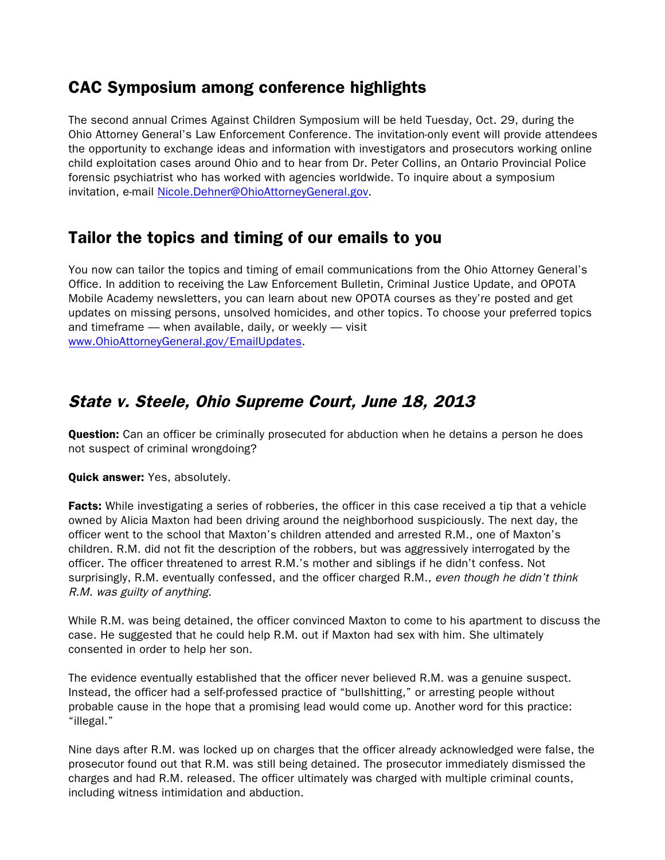## CAC Symposium among conference highlights

The second annual Crimes Against Children Symposium will be held Tuesday, Oct. 29, during the Ohio Attorney General's Law Enforcement Conference. The invitation-only event will provide attendees the opportunity to exchange ideas and information with investigators and prosecutors working online child exploitation cases around Ohio and to hear from Dr. Peter Collins, an Ontario Provincial Police forensic psychiatrist who has worked with agencies worldwide. To inquire about a symposium invitation, e-mail Nicole.Dehner@OhioAttorneyGeneral.gov.

## Tailor the topics and timing of our emails to you

You now can tailor the topics and timing of email communications from the Ohio Attorney General's Office. In addition to receiving the Law Enforcement Bulletin, Criminal Justice Update, and OPOTA Mobile Academy newsletters, you can learn about new OPOTA courses as they're posted and get updates on missing persons, unsolved homicides, and other topics. To choose your preferred topics and timeframe — when available, daily, or weekly — visit www.OhioAttorneyGeneral.gov/EmailUpdates.

## State v. Steele, Ohio Supreme Court, June 18, 2013

**Question:** Can an officer be criminally prosecuted for abduction when he detains a person he does not suspect of criminal wrongdoing?

### Quick answer: Yes, absolutely.

**Facts:** While investigating a series of robberies, the officer in this case received a tip that a vehicle owned by Alicia Maxton had been driving around the neighborhood suspiciously. The next day, the officer went to the school that Maxton's children attended and arrested R.M., one of Maxton's children. R.M. did not fit the description of the robbers, but was aggressively interrogated by the officer. The officer threatened to arrest R.M.'s mother and siblings if he didn't confess. Not surprisingly, R.M. eventually confessed, and the officer charged R.M., even though he didn't think R.M. was guilty of anything.

While R.M. was being detained, the officer convinced Maxton to come to his apartment to discuss the case. He suggested that he could help R.M. out if Maxton had sex with him. She ultimately consented in order to help her son.

The evidence eventually established that the officer never believed R.M. was a genuine suspect. Instead, the officer had a self-professed practice of "bullshitting," or arresting people without probable cause in the hope that a promising lead would come up. Another word for this practice: "illegal."

Nine days after R.M. was locked up on charges that the officer already acknowledged were false, the prosecutor found out that R.M. was still being detained. The prosecutor immediately dismissed the charges and had R.M. released. The officer ultimately was charged with multiple criminal counts, including witness intimidation and abduction.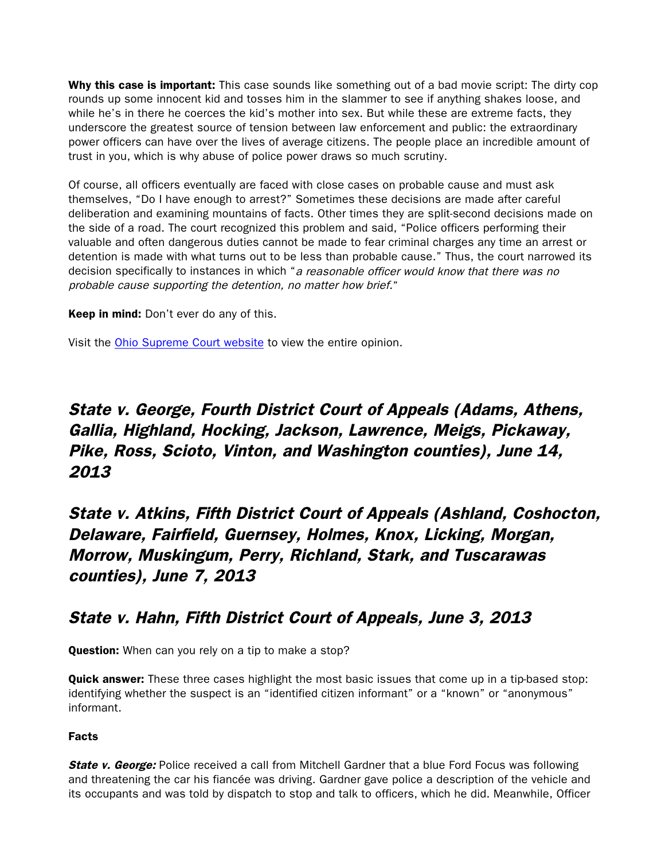Why this case is important: This case sounds like something out of a bad movie script: The dirty cop rounds up some innocent kid and tosses him in the slammer to see if anything shakes loose, and while he's in there he coerces the kid's mother into sex. But while these are extreme facts, they underscore the greatest source of tension between law enforcement and public: the extraordinary power officers can have over the lives of average citizens. The people place an incredible amount of trust in you, which is why abuse of police power draws so much scrutiny.

Of course, all officers eventually are faced with close cases on probable cause and must ask themselves, "Do I have enough to arrest?" Sometimes these decisions are made after careful deliberation and examining mountains of facts. Other times they are split-second decisions made on the side of a road. The court recognized this problem and said, "Police officers performing their valuable and often dangerous duties cannot be made to fear criminal charges any time an arrest or detention is made with what turns out to be less than probable cause." Thus, the court narrowed its decision specifically to instances in which "a reasonable officer would know that there was no probable cause supporting the detention, no matter how brief."

**Keep in mind:** Don't ever do any of this.

Visit the [Ohio Supreme Court website](http://www.sconet.state.oh.us/rod/docs/pdf/0/2013/2013-ohio-2470.pdf) to view the entire opinion.

# State v. George, Fourth District Court of Appeals (Adams, Athens, Gallia, Highland, Hocking, Jackson, Lawrence, Meigs, Pickaway, Pike, Ross, Scioto, Vinton, and Washington counties), June 14, 2013

State v. Atkins, Fifth District Court of Appeals (Ashland, Coshocton, Delaware, Fairfield, Guernsey, Holmes, Knox, Licking, Morgan, Morrow, Muskingum, Perry, Richland, Stark, and Tuscarawas counties), June 7, 2013

### State v. Hahn, Fifth District Court of Appeals, June 3, 2013

Question: When can you rely on a tip to make a stop?

**Quick answer:** These three cases highlight the most basic issues that come up in a tip-based stop: identifying whether the suspect is an "identified citizen informant" or a "known" or "anonymous" informant.

### Facts

**State v. George:** Police received a call from Mitchell Gardner that a blue Ford Focus was following and threatening the car his fiancée was driving. Gardner gave police a description of the vehicle and its occupants and was told by dispatch to stop and talk to officers, which he did. Meanwhile, Officer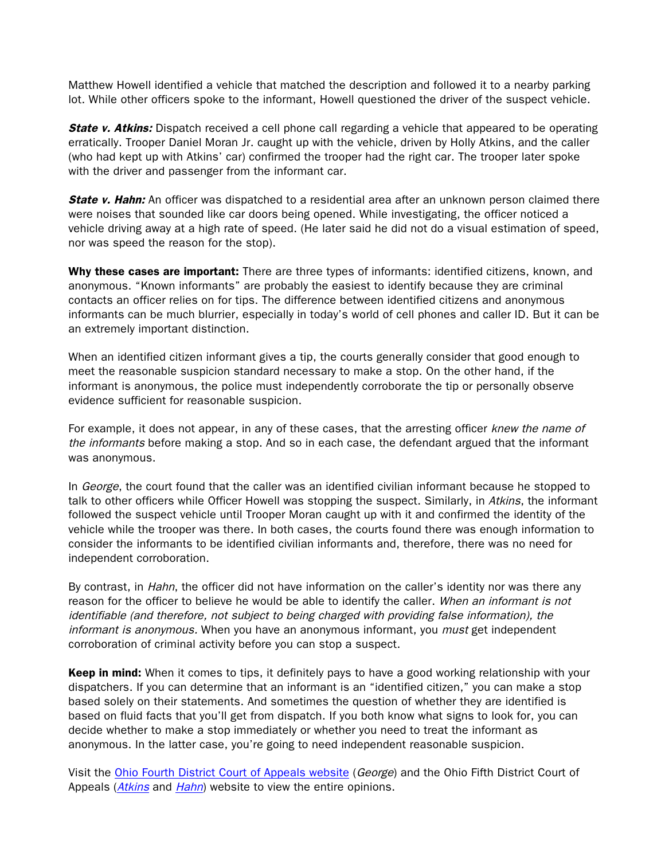Matthew Howell identified a vehicle that matched the description and followed it to a nearby parking lot. While other officers spoke to the informant, Howell questioned the driver of the suspect vehicle.

**State v. Atkins:** Dispatch received a cell phone call regarding a vehicle that appeared to be operating erratically. Trooper Daniel Moran Jr. caught up with the vehicle, driven by Holly Atkins, and the caller (who had kept up with Atkins' car) confirmed the trooper had the right car. The trooper later spoke with the driver and passenger from the informant car.

**State v. Hahn:** An officer was dispatched to a residential area after an unknown person claimed there were noises that sounded like car doors being opened. While investigating, the officer noticed a vehicle driving away at a high rate of speed. (He later said he did not do a visual estimation of speed, nor was speed the reason for the stop).

Why these cases are important: There are three types of informants: identified citizens, known, and anonymous. "Known informants" are probably the easiest to identify because they are criminal contacts an officer relies on for tips. The difference between identified citizens and anonymous informants can be much blurrier, especially in today's world of cell phones and caller ID. But it can be an extremely important distinction.

When an identified citizen informant gives a tip, the courts generally consider that good enough to meet the reasonable suspicion standard necessary to make a stop. On the other hand, if the informant is anonymous, the police must independently corroborate the tip or personally observe evidence sufficient for reasonable suspicion.

For example, it does not appear, in any of these cases, that the arresting officer knew the name of the informants before making a stop. And so in each case, the defendant argued that the informant was anonymous.

In *George*, the court found that the caller was an identified civilian informant because he stopped to talk to other officers while Officer Howell was stopping the suspect. Similarly, in Atkins, the informant followed the suspect vehicle until Trooper Moran caught up with it and confirmed the identity of the vehicle while the trooper was there. In both cases, the courts found there was enough information to consider the informants to be identified civilian informants and, therefore, there was no need for independent corroboration.

By contrast, in *Hahn*, the officer did not have information on the caller's identity nor was there any reason for the officer to believe he would be able to identify the caller. When an informant is not identifiable (and therefore, not subject to being charged with providing false information), the informant is anonymous. When you have an anonymous informant, you must get independent corroboration of criminal activity before you can stop a suspect.

Keep in mind: When it comes to tips, it definitely pays to have a good working relationship with your dispatchers. If you can determine that an informant is an "identified citizen," you can make a stop based solely on their statements. And sometimes the question of whether they are identified is based on fluid facts that you'll get from dispatch. If you both know what signs to look for, you can decide whether to make a stop immediately or whether you need to treat the informant as anonymous. In the latter case, you're going to need independent reasonable suspicion.

Visit the [Ohio Fourth District Court of Appeals website](http://www.sconet.state.oh.us/rod/docs/pdf/4/2013/2013-ohio-2511.pdf) (George) and the Ohio Fifth District Court of Appeals ([Atkins](http://www.sconet.state.oh.us/rod/docs/pdf/5/2013/2013-ohio-2446.pdf) and [Hahn](http://www.sconet.state.oh.us/rod/docs/pdf/5/2013/2013-ohio-2308.pdf)) website to view the entire opinions.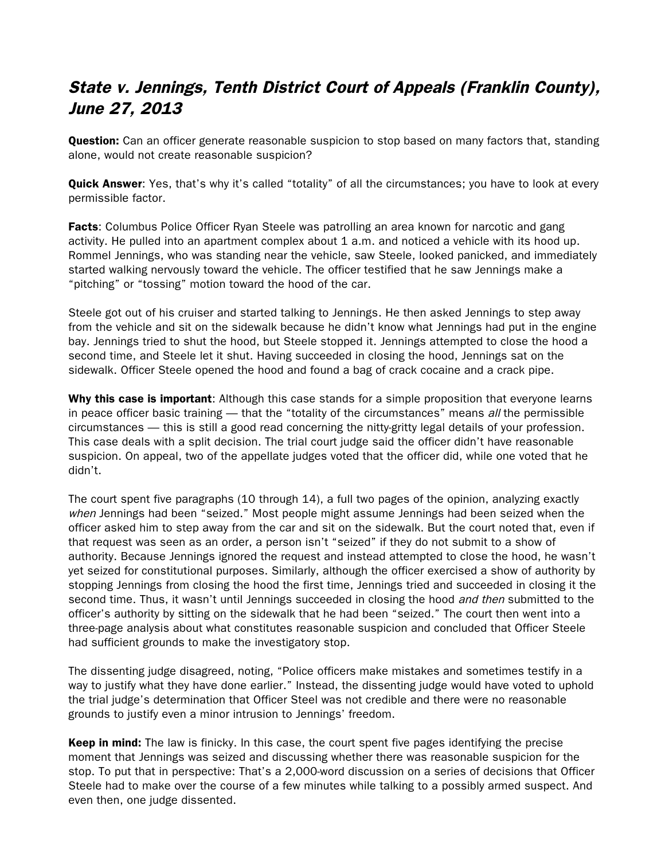# State v. Jennings, Tenth District Court of Appeals (Franklin County), June 27, 2013

**Question:** Can an officer generate reasonable suspicion to stop based on many factors that, standing alone, would not create reasonable suspicion?

**Quick Answer**: Yes, that's why it's called "totality" of all the circumstances; you have to look at every permissible factor.

Facts: Columbus Police Officer Ryan Steele was patrolling an area known for narcotic and gang activity. He pulled into an apartment complex about 1 a.m. and noticed a vehicle with its hood up. Rommel Jennings, who was standing near the vehicle, saw Steele, looked panicked, and immediately started walking nervously toward the vehicle. The officer testified that he saw Jennings make a "pitching" or "tossing" motion toward the hood of the car.

Steele got out of his cruiser and started talking to Jennings. He then asked Jennings to step away from the vehicle and sit on the sidewalk because he didn't know what Jennings had put in the engine bay. Jennings tried to shut the hood, but Steele stopped it. Jennings attempted to close the hood a second time, and Steele let it shut. Having succeeded in closing the hood, Jennings sat on the sidewalk. Officer Steele opened the hood and found a bag of crack cocaine and a crack pipe.

Why this case is important: Although this case stands for a simple proposition that everyone learns in peace officer basic training — that the "totality of the circumstances" means all the permissible circumstances — this is still a good read concerning the nitty-gritty legal details of your profession. This case deals with a split decision. The trial court judge said the officer didn't have reasonable suspicion. On appeal, two of the appellate judges voted that the officer did, while one voted that he didn't.

The court spent five paragraphs (10 through 14), a full two pages of the opinion, analyzing exactly when Jennings had been "seized." Most people might assume Jennings had been seized when the officer asked him to step away from the car and sit on the sidewalk. But the court noted that, even if that request was seen as an order, a person isn't "seized" if they do not submit to a show of authority. Because Jennings ignored the request and instead attempted to close the hood, he wasn't yet seized for constitutional purposes. Similarly, although the officer exercised a show of authority by stopping Jennings from closing the hood the first time, Jennings tried and succeeded in closing it the second time. Thus, it wasn't until Jennings succeeded in closing the hood *and then* submitted to the officer's authority by sitting on the sidewalk that he had been "seized." The court then went into a three-page analysis about what constitutes reasonable suspicion and concluded that Officer Steele had sufficient grounds to make the investigatory stop.

The dissenting judge disagreed, noting, "Police officers make mistakes and sometimes testify in a way to justify what they have done earlier." Instead, the dissenting judge would have voted to uphold the trial judge's determination that Officer Steel was not credible and there were no reasonable grounds to justify even a minor intrusion to Jennings' freedom.

Keep in mind: The law is finicky. In this case, the court spent five pages identifying the precise moment that Jennings was seized and discussing whether there was reasonable suspicion for the stop. To put that in perspective: That's a 2,000-word discussion on a series of decisions that Officer Steele had to make over the course of a few minutes while talking to a possibly armed suspect. And even then, one judge dissented.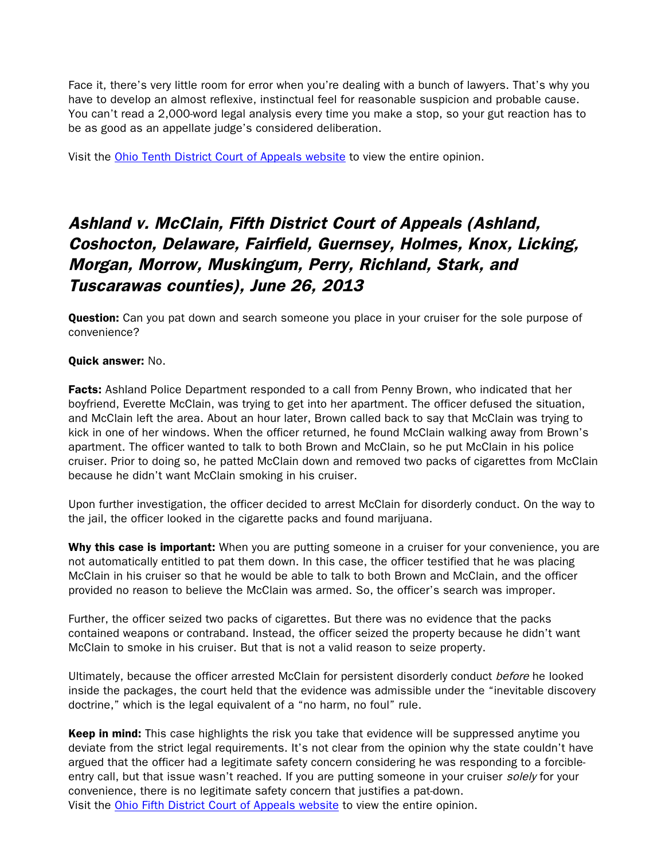Face it, there's very little room for error when you're dealing with a bunch of lawyers. That's why you have to develop an almost reflexive, instinctual feel for reasonable suspicion and probable cause. You can't read a 2,000-word legal analysis every time you make a stop, so your gut reaction has to be as good as an appellate judge's considered deliberation.

Visit the [Ohio Tenth District Court of Appeals website](http://www.sconet.state.oh.us/rod/docs/pdf/10/2013/2013-ohio-2736.pdf) to view the entire opinion.

# Ashland v. McClain, Fifth District Court of Appeals (Ashland, Coshocton, Delaware, Fairfield, Guernsey, Holmes, Knox, Licking, Morgan, Morrow, Muskingum, Perry, Richland, Stark, and Tuscarawas counties), June 26, 2013

**Question:** Can you pat down and search someone you place in your cruiser for the sole purpose of convenience?

### Quick answer: No.

**Facts:** Ashland Police Department responded to a call from Penny Brown, who indicated that her boyfriend, Everette McClain, was trying to get into her apartment. The officer defused the situation, and McClain left the area. About an hour later, Brown called back to say that McClain was trying to kick in one of her windows. When the officer returned, he found McClain walking away from Brown's apartment. The officer wanted to talk to both Brown and McClain, so he put McClain in his police cruiser. Prior to doing so, he patted McClain down and removed two packs of cigarettes from McClain because he didn't want McClain smoking in his cruiser.

Upon further investigation, the officer decided to arrest McClain for disorderly conduct. On the way to the jail, the officer looked in the cigarette packs and found marijuana.

Why this case is important: When you are putting someone in a cruiser for your convenience, you are not automatically entitled to pat them down. In this case, the officer testified that he was placing McClain in his cruiser so that he would be able to talk to both Brown and McClain, and the officer provided no reason to believe the McClain was armed. So, the officer's search was improper.

Further, the officer seized two packs of cigarettes. But there was no evidence that the packs contained weapons or contraband. Instead, the officer seized the property because he didn't want McClain to smoke in his cruiser. But that is not a valid reason to seize property.

Ultimately, because the officer arrested McClain for persistent disorderly conduct before he looked inside the packages, the court held that the evidence was admissible under the "inevitable discovery doctrine," which is the legal equivalent of a "no harm, no foul" rule.

Keep in mind: This case highlights the risk you take that evidence will be suppressed anytime you deviate from the strict legal requirements. It's not clear from the opinion why the state couldn't have argued that the officer had a legitimate safety concern considering he was responding to a forcibleentry call, but that issue wasn't reached. If you are putting someone in your cruiser solely for your convenience, there is no legitimate safety concern that justifies a pat-down. Visit the [Ohio Fifth District Court of Appeals website](http://www.sconet.state.oh.us/rod/docs/pdf/5/2013/2013-ohio-2436.pdf) to view the entire opinion.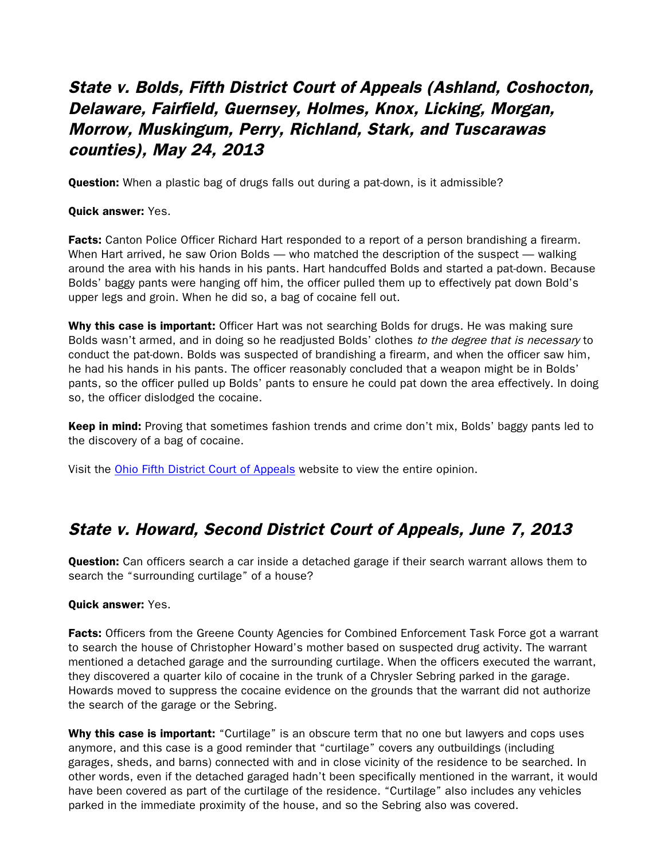# State v. Bolds, Fifth District Court of Appeals (Ashland, Coshocton, Delaware, Fairfield, Guernsey, Holmes, Knox, Licking, Morgan, Morrow, Muskingum, Perry, Richland, Stark, and Tuscarawas counties), May 24, 2013

**Question:** When a plastic bag of drugs falls out during a pat-down, is it admissible?

Quick answer: Yes.

**Facts:** Canton Police Officer Richard Hart responded to a report of a person brandishing a firearm. When Hart arrived, he saw Orion Bolds — who matched the description of the suspect — walking around the area with his hands in his pants. Hart handcuffed Bolds and started a pat-down. Because Bolds' baggy pants were hanging off him, the officer pulled them up to effectively pat down Bold's upper legs and groin. When he did so, a bag of cocaine fell out.

Why this case is important: Officer Hart was not searching Bolds for drugs. He was making sure Bolds wasn't armed, and in doing so he readjusted Bolds' clothes to the degree that is necessary to conduct the pat-down. Bolds was suspected of brandishing a firearm, and when the officer saw him, he had his hands in his pants. The officer reasonably concluded that a weapon might be in Bolds' pants, so the officer pulled up Bolds' pants to ensure he could pat down the area effectively. In doing so, the officer dislodged the cocaine.

Keep in mind: Proving that sometimes fashion trends and crime don't mix, Bolds' baggy pants led to the discovery of a bag of cocaine.

Visit the Ohio Fifth [District Court of Appeals](http://www.sconet.state.oh.us/rod/docs/pdf/5/2013/2013-ohio-2355.pdf) website to view the entire opinion.

## State v. Howard, Second District Court of Appeals, June 7, 2013

**Question:** Can officers search a car inside a detached garage if their search warrant allows them to search the "surrounding curtilage" of a house?

#### Quick answer: Yes.

**Facts:** Officers from the Greene County Agencies for Combined Enforcement Task Force got a warrant to search the house of Christopher Howard's mother based on suspected drug activity. The warrant mentioned a detached garage and the surrounding curtilage. When the officers executed the warrant, they discovered a quarter kilo of cocaine in the trunk of a Chrysler Sebring parked in the garage. Howards moved to suppress the cocaine evidence on the grounds that the warrant did not authorize the search of the garage or the Sebring.

Why this case is important: "Curtilage" is an obscure term that no one but lawyers and cops uses anymore, and this case is a good reminder that "curtilage" covers any outbuildings (including garages, sheds, and barns) connected with and in close vicinity of the residence to be searched. In other words, even if the detached garaged hadn't been specifically mentioned in the warrant, it would have been covered as part of the curtilage of the residence. "Curtilage" also includes any vehicles parked in the immediate proximity of the house, and so the Sebring also was covered.